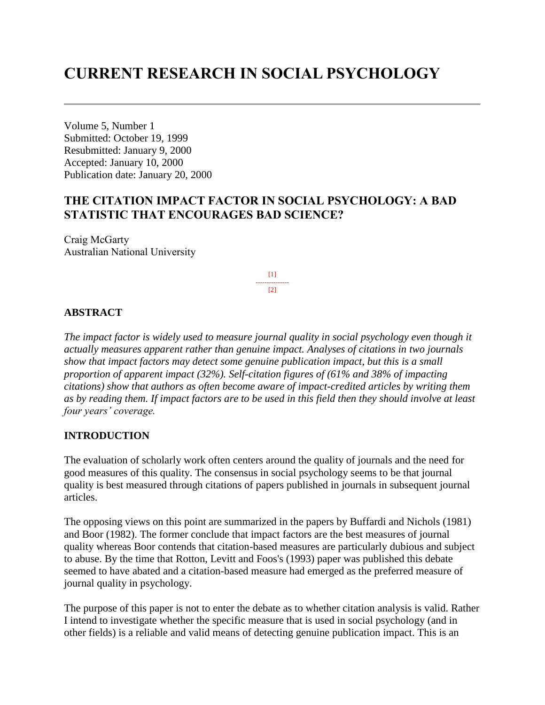# **CURRENT RESEARCH IN SOCIAL PSYCHOLOGY**

Volume 5, Number 1 Submitted: October 19, 1999 Resubmitted: January 9, 2000 Accepted: January 10, 2000 Publication date: January 20, 2000

# **THE CITATION IMPACT FACTOR IN SOCIAL PSYCHOLOGY: A BAD STATISTIC THAT ENCOURAGES BAD SCIENCE?**

Craig McGarty Australian National University

> [1] ---------------  $[2]$

#### **ABSTRACT**

*The impact factor is widely used to measure journal quality in social psychology even though it actually measures apparent rather than genuine impact. Analyses of citations in two journals show that impact factors may detect some genuine publication impact, but this is a small proportion of apparent impact (32%). Self-citation figures of (61% and 38% of impacting citations) show that authors as often become aware of impact-credited articles by writing them as by reading them. If impact factors are to be used in this field then they should involve at least four years' coverage.*

#### **INTRODUCTION**

The evaluation of scholarly work often centers around the quality of journals and the need for good measures of this quality. The consensus in social psychology seems to be that journal quality is best measured through citations of papers published in journals in subsequent journal articles.

The opposing views on this point are summarized in the papers by Buffardi and Nichols (1981) and Boor (1982). The former conclude that impact factors are the best measures of journal quality whereas Boor contends that citation-based measures are particularly dubious and subject to abuse. By the time that Rotton, Levitt and Foos's (1993) paper was published this debate seemed to have abated and a citation-based measure had emerged as the preferred measure of journal quality in psychology.

The purpose of this paper is not to enter the debate as to whether citation analysis is valid. Rather I intend to investigate whether the specific measure that is used in social psychology (and in other fields) is a reliable and valid means of detecting genuine publication impact. This is an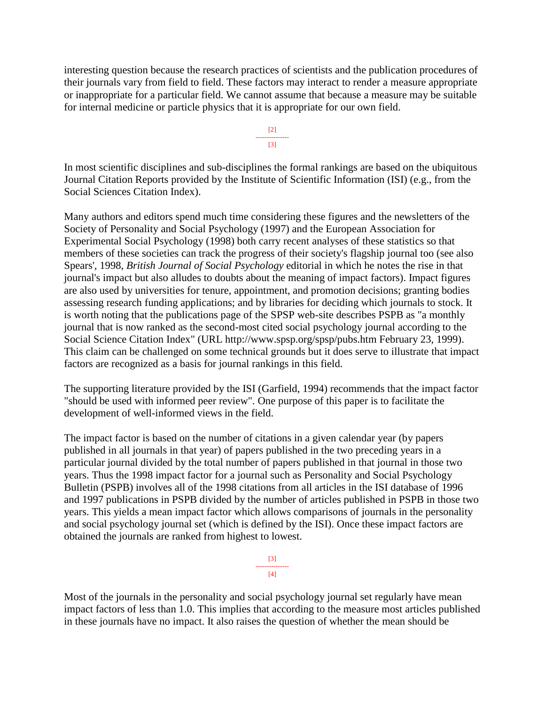interesting question because the research practices of scientists and the publication procedures of their journals vary from field to field. These factors may interact to render a measure appropriate or inappropriate for a particular field. We cannot assume that because a measure may be suitable for internal medicine or particle physics that it is appropriate for our own field.

> [2] --------------- [3]

In most scientific disciplines and sub-disciplines the formal rankings are based on the ubiquitous Journal Citation Reports provided by the Institute of Scientific Information (ISI) (e.g., from the Social Sciences Citation Index).

Many authors and editors spend much time considering these figures and the newsletters of the Society of Personality and Social Psychology (1997) and the European Association for Experimental Social Psychology (1998) both carry recent analyses of these statistics so that members of these societies can track the progress of their society's flagship journal too (see also Spears', 1998, *British Journal of Social Psychology* editorial in which he notes the rise in that journal's impact but also alludes to doubts about the meaning of impact factors). Impact figures are also used by universities for tenure, appointment, and promotion decisions; granting bodies assessing research funding applications; and by libraries for deciding which journals to stock. It is worth noting that the publications page of the SPSP web-site describes PSPB as "a monthly journal that is now ranked as the second-most cited social psychology journal according to the Social Science Citation Index" (URL http://www.spsp.org/spsp/pubs.htm February 23, 1999). This claim can be challenged on some technical grounds but it does serve to illustrate that impact factors are recognized as a basis for journal rankings in this field.

The supporting literature provided by the ISI (Garfield, 1994) recommends that the impact factor "should be used with informed peer review". One purpose of this paper is to facilitate the development of well-informed views in the field.

The impact factor is based on the number of citations in a given calendar year (by papers published in all journals in that year) of papers published in the two preceding years in a particular journal divided by the total number of papers published in that journal in those two years. Thus the 1998 impact factor for a journal such as Personality and Social Psychology Bulletin (PSPB) involves all of the 1998 citations from all articles in the ISI database of 1996 and 1997 publications in PSPB divided by the number of articles published in PSPB in those two years. This yields a mean impact factor which allows comparisons of journals in the personality and social psychology journal set (which is defined by the ISI). Once these impact factors are obtained the journals are ranked from highest to lowest.



Most of the journals in the personality and social psychology journal set regularly have mean impact factors of less than 1.0. This implies that according to the measure most articles published in these journals have no impact. It also raises the question of whether the mean should be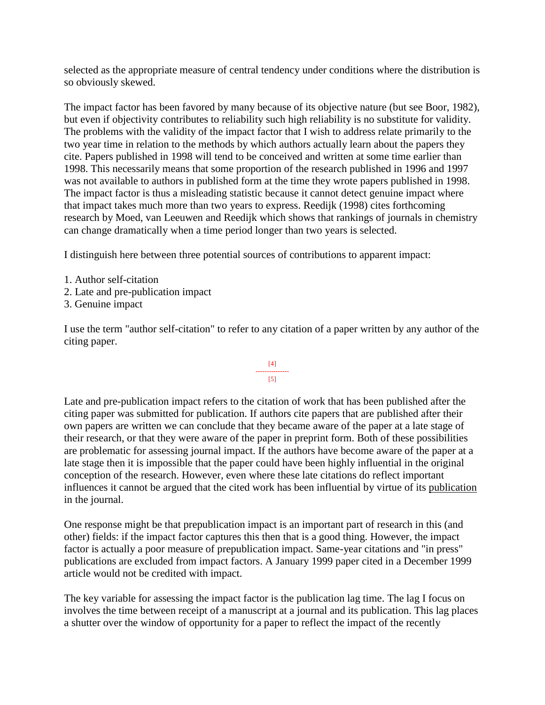selected as the appropriate measure of central tendency under conditions where the distribution is so obviously skewed.

The impact factor has been favored by many because of its objective nature (but see Boor, 1982), but even if objectivity contributes to reliability such high reliability is no substitute for validity. The problems with the validity of the impact factor that I wish to address relate primarily to the two year time in relation to the methods by which authors actually learn about the papers they cite. Papers published in 1998 will tend to be conceived and written at some time earlier than 1998. This necessarily means that some proportion of the research published in 1996 and 1997 was not available to authors in published form at the time they wrote papers published in 1998. The impact factor is thus a misleading statistic because it cannot detect genuine impact where that impact takes much more than two years to express. Reedijk (1998) cites forthcoming research by Moed, van Leeuwen and Reedijk which shows that rankings of journals in chemistry can change dramatically when a time period longer than two years is selected.

I distinguish here between three potential sources of contributions to apparent impact:

- 1. Author self-citation
- 2. Late and pre-publication impact
- 3. Genuine impact

I use the term "author self-citation" to refer to any citation of a paper written by any author of the citing paper.

#### [4] --------------- [5]

Late and pre-publication impact refers to the citation of work that has been published after the citing paper was submitted for publication. If authors cite papers that are published after their own papers are written we can conclude that they became aware of the paper at a late stage of their research, or that they were aware of the paper in preprint form. Both of these possibilities are problematic for assessing journal impact. If the authors have become aware of the paper at a late stage then it is impossible that the paper could have been highly influential in the original conception of the research. However, even where these late citations do reflect important influences it cannot be argued that the cited work has been influential by virtue of its publication in the journal.

One response might be that prepublication impact is an important part of research in this (and other) fields: if the impact factor captures this then that is a good thing. However, the impact factor is actually a poor measure of prepublication impact. Same-year citations and "in press" publications are excluded from impact factors. A January 1999 paper cited in a December 1999 article would not be credited with impact.

The key variable for assessing the impact factor is the publication lag time. The lag I focus on involves the time between receipt of a manuscript at a journal and its publication. This lag places a shutter over the window of opportunity for a paper to reflect the impact of the recently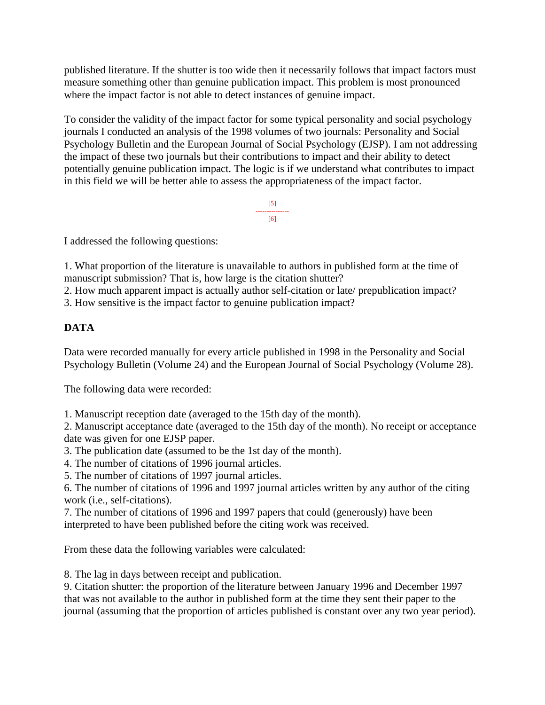published literature. If the shutter is too wide then it necessarily follows that impact factors must measure something other than genuine publication impact. This problem is most pronounced where the impact factor is not able to detect instances of genuine impact.

To consider the validity of the impact factor for some typical personality and social psychology journals I conducted an analysis of the 1998 volumes of two journals: Personality and Social Psychology Bulletin and the European Journal of Social Psychology (EJSP). I am not addressing the impact of these two journals but their contributions to impact and their ability to detect potentially genuine publication impact. The logic is if we understand what contributes to impact in this field we will be better able to assess the appropriateness of the impact factor.

> [5] --------------- [6]

I addressed the following questions:

1. What proportion of the literature is unavailable to authors in published form at the time of manuscript submission? That is, how large is the citation shutter?

2. How much apparent impact is actually author self-citation or late/ prepublication impact?

3. How sensitive is the impact factor to genuine publication impact?

# **DATA**

Data were recorded manually for every article published in 1998 in the Personality and Social Psychology Bulletin (Volume 24) and the European Journal of Social Psychology (Volume 28).

The following data were recorded:

1. Manuscript reception date (averaged to the 15th day of the month).

2. Manuscript acceptance date (averaged to the 15th day of the month). No receipt or acceptance date was given for one EJSP paper.

- 3. The publication date (assumed to be the 1st day of the month).
- 4. The number of citations of 1996 journal articles.
- 5. The number of citations of 1997 journal articles.

6. The number of citations of 1996 and 1997 journal articles written by any author of the citing work (i.e., self-citations).

7. The number of citations of 1996 and 1997 papers that could (generously) have been interpreted to have been published before the citing work was received.

From these data the following variables were calculated:

8. The lag in days between receipt and publication.

9. Citation shutter: the proportion of the literature between January 1996 and December 1997 that was not available to the author in published form at the time they sent their paper to the journal (assuming that the proportion of articles published is constant over any two year period).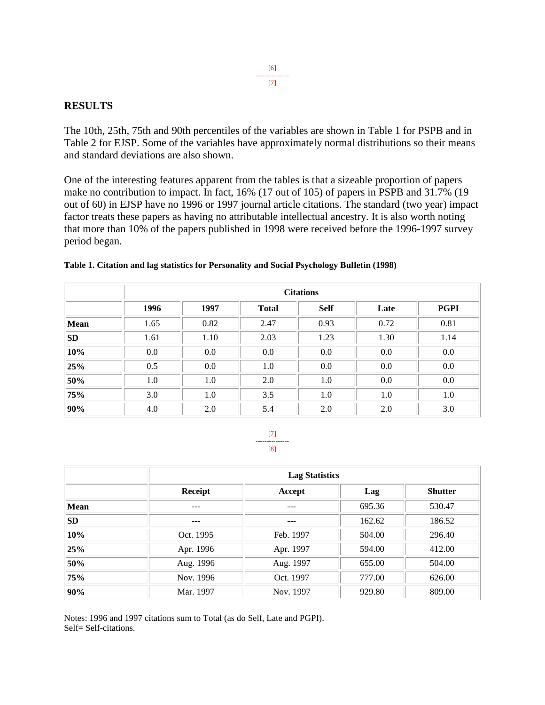#### [6] --------------- [7]

#### **RESULTS**

The 10th, 25th, 75th and 90th percentiles of the variables are shown in Table 1 for PSPB and in Table 2 for EJSP. Some of the variables have approximately normal distributions so their means and standard deviations are also shown.

One of the interesting features apparent from the tables is that a sizeable proportion of papers make no contribution to impact. In fact, 16% (17 out of 105) of papers in PSPB and 31.7% (19 out of 60) in EJSP have no 1996 or 1997 journal article citations. The standard (two year) impact factor treats these papers as having no attributable intellectual ancestry. It is also worth noting that more than 10% of the papers published in 1998 were received before the 1996-1997 survey period began.

|           | <b>Citations</b> |      |              |             |      |             |
|-----------|------------------|------|--------------|-------------|------|-------------|
|           | 1996             | 1997 | <b>Total</b> | <b>Self</b> | Late | <b>PGPI</b> |
| Mean      | 1.65             | 0.82 | 2.47         | 0.93        | 0.72 | 0.81        |
| <b>SD</b> | 1.61             | 1.10 | 2.03         | 1.23        | 1.30 | 1.14        |
| 10%       | $0.0\,$          | 0.0  | 0.0          | 0.0         | 0.0  | 0.0         |
| 25%       | 0.5              | 0.0  | 1.0          | 0.0         | 0.0  | 0.0         |
| 50%       | 1.0              | 1.0  | 2.0          | 1.0         | 0.0  | 0.0         |
| 75%       | 3.0              | 1.0  | 3.5          | 1.0         | 1.0  | 1.0         |
| 90%       | 4.0              | 2.0  | 5.4          | 2.0         | 2.0  | 3.0         |

#### **Table 1. Citation and lag statistics for Personality and Social Psychology Bulletin (1998)**

[7] --------------- [8]

|           |           | <b>Lag Statistics</b> |        |                |  |  |  |
|-----------|-----------|-----------------------|--------|----------------|--|--|--|
|           | Receipt   | Accept                | Lag    | <b>Shutter</b> |  |  |  |
| Mean      | ---       | ---                   | 695.36 | 530.47         |  |  |  |
| <b>SD</b> | ---       | ---                   | 162.62 | 186.52         |  |  |  |
| 10%       | Oct. 1995 | Feb. 1997             | 504.00 | 296.40         |  |  |  |
| 25%       | Apr. 1996 | Apr. 1997             | 594.00 | 412.00         |  |  |  |
| 50%       | Aug. 1996 | Aug. 1997             | 655.00 | 504.00         |  |  |  |
| 75%       | Nov. 1996 | Oct. 1997             | 777.00 | 626.00         |  |  |  |
| 90%       | Mar. 1997 | Nov. 1997             | 929.80 | 809.00         |  |  |  |

Notes: 1996 and 1997 citations sum to Total (as do Self, Late and PGPI). Self= Self-citations.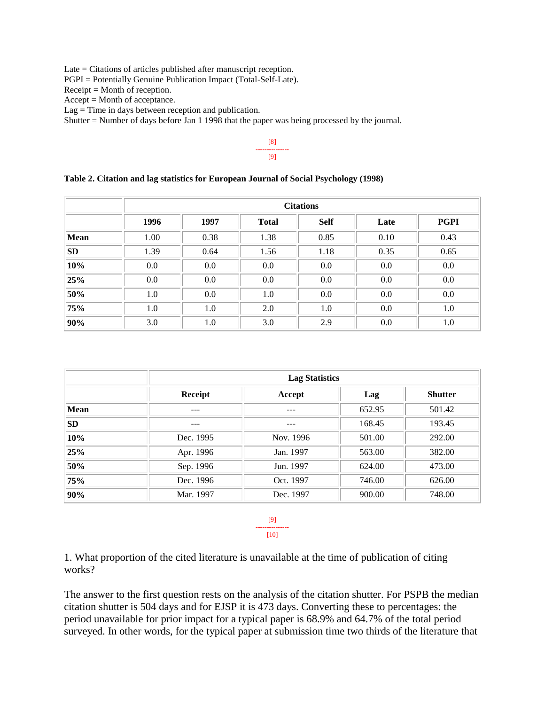Late = Citations of articles published after manuscript reception.

PGPI = Potentially Genuine Publication Impact (Total-Self-Late).

Receipt = Month of reception.

Accept = Month of acceptance.

 $Lag = Time$  in days between reception and publication.

Shutter = Number of days before Jan 1 1998 that the paper was being processed by the journal.

[8] --------------- [9]

#### **Table 2. Citation and lag statistics for European Journal of Social Psychology (1998)**

|           | <b>Citations</b> |      |              |             |      |             |
|-----------|------------------|------|--------------|-------------|------|-------------|
|           | 1996             | 1997 | <b>Total</b> | <b>Self</b> | Late | <b>PGPI</b> |
| Mean      | 1.00             | 0.38 | 1.38         | 0.85        | 0.10 | 0.43        |
| <b>SD</b> | 1.39             | 0.64 | 1.56         | 1.18        | 0.35 | 0.65        |
| 10%       | $0.0\,$          | 0.0  | 0.0          | 0.0         | 0.0  | 0.0         |
| 25%       | $0.0\,$          | 0.0  | 0.0          | 0.0         | 0.0  | 0.0         |
| 50%       | 1.0              | 0.0  | 1.0          | 0.0         | 0.0  | 0.0         |
| 75%       | 1.0              | 1.0  | 2.0          | 1.0         | 0.0  | 1.0         |
| 90%       | 3.0              | 1.0  | 3.0          | 2.9         | 0.0  | 1.0         |

|           | <b>Lag Statistics</b> |           |        |                |  |  |
|-----------|-----------------------|-----------|--------|----------------|--|--|
|           | Receipt               | Accept    | Lag    | <b>Shutter</b> |  |  |
| Mean      | ---                   | $- - -$   | 652.95 | 501.42         |  |  |
| <b>SD</b> | ---                   | $- - -$   | 168.45 | 193.45         |  |  |
| 10%       | Dec. 1995             | Nov. 1996 | 501.00 | 292.00         |  |  |
| 25%       | Apr. 1996             | Jan. 1997 | 563.00 | 382.00         |  |  |
| 50%       | Sep. 1996             | Jun. 1997 | 624.00 | 473.00         |  |  |
| 75%       | Dec. 1996             | Oct. 1997 | 746.00 | 626.00         |  |  |
| 90%       | Mar. 1997             | Dec. 1997 | 900.00 | 748.00         |  |  |

[9] ---------------

[10]

1. What proportion of the cited literature is unavailable at the time of publication of citing works?

The answer to the first question rests on the analysis of the citation shutter. For PSPB the median citation shutter is 504 days and for EJSP it is 473 days. Converting these to percentages: the period unavailable for prior impact for a typical paper is 68.9% and 64.7% of the total period surveyed. In other words, for the typical paper at submission time two thirds of the literature that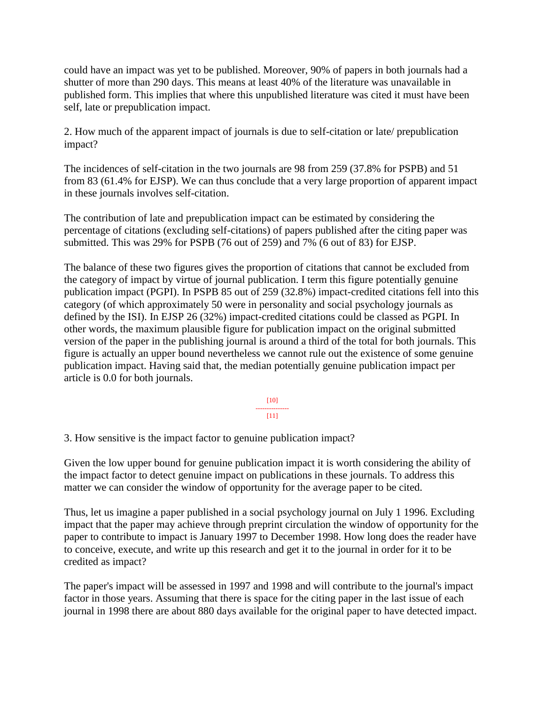could have an impact was yet to be published. Moreover, 90% of papers in both journals had a shutter of more than 290 days. This means at least 40% of the literature was unavailable in published form. This implies that where this unpublished literature was cited it must have been self, late or prepublication impact.

2. How much of the apparent impact of journals is due to self-citation or late/ prepublication impact?

The incidences of self-citation in the two journals are 98 from 259 (37.8% for PSPB) and 51 from 83 (61.4% for EJSP). We can thus conclude that a very large proportion of apparent impact in these journals involves self-citation.

The contribution of late and prepublication impact can be estimated by considering the percentage of citations (excluding self-citations) of papers published after the citing paper was submitted. This was 29% for PSPB (76 out of 259) and 7% (6 out of 83) for EJSP.

The balance of these two figures gives the proportion of citations that cannot be excluded from the category of impact by virtue of journal publication. I term this figure potentially genuine publication impact (PGPI). In PSPB 85 out of 259 (32.8%) impact-credited citations fell into this category (of which approximately 50 were in personality and social psychology journals as defined by the ISI). In EJSP 26 (32%) impact-credited citations could be classed as PGPI. In other words, the maximum plausible figure for publication impact on the original submitted version of the paper in the publishing journal is around a third of the total for both journals. This figure is actually an upper bound nevertheless we cannot rule out the existence of some genuine publication impact. Having said that, the median potentially genuine publication impact per article is 0.0 for both journals.

> [10] --------------- [11]

3. How sensitive is the impact factor to genuine publication impact?

Given the low upper bound for genuine publication impact it is worth considering the ability of the impact factor to detect genuine impact on publications in these journals. To address this matter we can consider the window of opportunity for the average paper to be cited.

Thus, let us imagine a paper published in a social psychology journal on July 1 1996. Excluding impact that the paper may achieve through preprint circulation the window of opportunity for the paper to contribute to impact is January 1997 to December 1998. How long does the reader have to conceive, execute, and write up this research and get it to the journal in order for it to be credited as impact?

The paper's impact will be assessed in 1997 and 1998 and will contribute to the journal's impact factor in those years. Assuming that there is space for the citing paper in the last issue of each journal in 1998 there are about 880 days available for the original paper to have detected impact.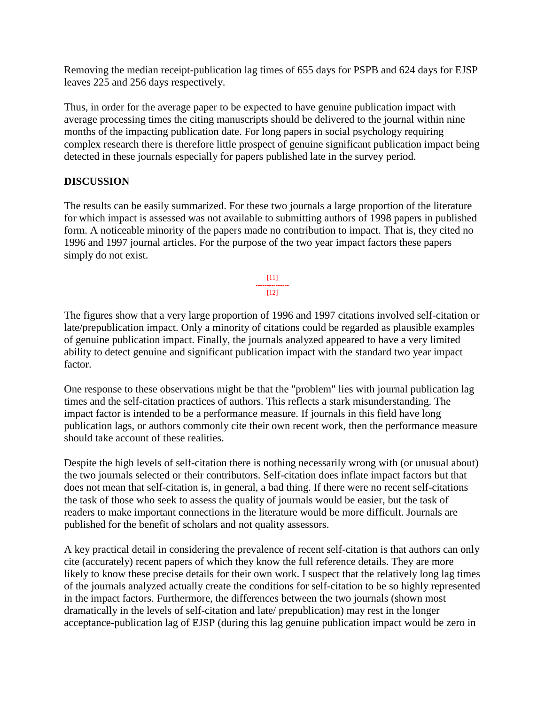Removing the median receipt-publication lag times of 655 days for PSPB and 624 days for EJSP leaves 225 and 256 days respectively.

Thus, in order for the average paper to be expected to have genuine publication impact with average processing times the citing manuscripts should be delivered to the journal within nine months of the impacting publication date. For long papers in social psychology requiring complex research there is therefore little prospect of genuine significant publication impact being detected in these journals especially for papers published late in the survey period.

### **DISCUSSION**

The results can be easily summarized. For these two journals a large proportion of the literature for which impact is assessed was not available to submitting authors of 1998 papers in published form. A noticeable minority of the papers made no contribution to impact. That is, they cited no 1996 and 1997 journal articles. For the purpose of the two year impact factors these papers simply do not exist.

> [11] ---------------  $[12]$

The figures show that a very large proportion of 1996 and 1997 citations involved self-citation or late/prepublication impact. Only a minority of citations could be regarded as plausible examples of genuine publication impact. Finally, the journals analyzed appeared to have a very limited ability to detect genuine and significant publication impact with the standard two year impact factor.

One response to these observations might be that the "problem" lies with journal publication lag times and the self-citation practices of authors. This reflects a stark misunderstanding. The impact factor is intended to be a performance measure. If journals in this field have long publication lags, or authors commonly cite their own recent work, then the performance measure should take account of these realities.

Despite the high levels of self-citation there is nothing necessarily wrong with (or unusual about) the two journals selected or their contributors. Self-citation does inflate impact factors but that does not mean that self-citation is, in general, a bad thing. If there were no recent self-citations the task of those who seek to assess the quality of journals would be easier, but the task of readers to make important connections in the literature would be more difficult. Journals are published for the benefit of scholars and not quality assessors.

A key practical detail in considering the prevalence of recent self-citation is that authors can only cite (accurately) recent papers of which they know the full reference details. They are more likely to know these precise details for their own work. I suspect that the relatively long lag times of the journals analyzed actually create the conditions for self-citation to be so highly represented in the impact factors. Furthermore, the differences between the two journals (shown most dramatically in the levels of self-citation and late/ prepublication) may rest in the longer acceptance-publication lag of EJSP (during this lag genuine publication impact would be zero in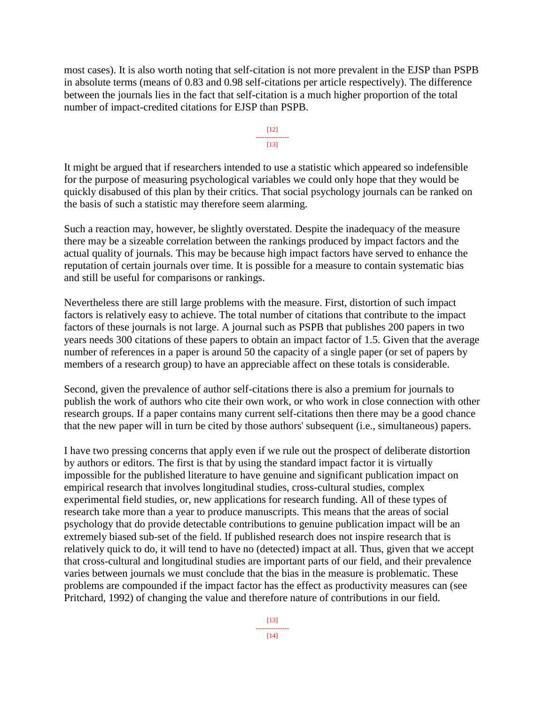most cases). It is also worth noting that self-citation is not more prevalent in the EJSP than PSPB in absolute terms (means of 0.83 and 0.98 self-citations per article respectively). The difference between the journals lies in the fact that self-citation is a much higher proportion of the total number of impact-credited citations for EJSP than PSPB.

> [12] ---------------  $[13]$

It might be argued that if researchers intended to use a statistic which appeared so indefensible for the purpose of measuring psychological variables we could only hope that they would be quickly disabused of this plan by their critics. That social psychology journals can be ranked on the basis of such a statistic may therefore seem alarming.

Such a reaction may, however, be slightly overstated. Despite the inadequacy of the measure there may be a sizeable correlation between the rankings produced by impact factors and the actual quality of journals. This may be because high impact factors have served to enhance the reputation of certain journals over time. It is possible for a measure to contain systematic bias and still be useful for comparisons or rankings.

Nevertheless there are still large problems with the measure. First, distortion of such impact factors is relatively easy to achieve. The total number of citations that contribute to the impact factors of these journals is not large. A journal such as PSPB that publishes 200 papers in two years needs 300 citations of these papers to obtain an impact factor of 1.5. Given that the average number of references in a paper is around 50 the capacity of a single paper (or set of papers by members of a research group) to have an appreciable affect on these totals is considerable.

Second, given the prevalence of author self-citations there is also a premium for journals to publish the work of authors who cite their own work, or who work in close connection with other research groups. If a paper contains many current self-citations then there may be a good chance that the new paper will in turn be cited by those authors' subsequent (i.e., simultaneous) papers.

I have two pressing concerns that apply even if we rule out the prospect of deliberate distortion by authors or editors. The first is that by using the standard impact factor it is virtually impossible for the published literature to have genuine and significant publication impact on empirical research that involves longitudinal studies, cross-cultural studies, complex experimental field studies, or, new applications for research funding. All of these types of research take more than a year to produce manuscripts. This means that the areas of social psychology that do provide detectable contributions to genuine publication impact will be an extremely biased sub-set of the field. If published research does not inspire research that is relatively quick to do, it will tend to have no (detected) impact at all. Thus, given that we accept that cross-cultural and longitudinal studies are important parts of our field, and their prevalence varies between journals we must conclude that the bias in the measure is problematic. These problems are compounded if the impact factor has the effect as productivity measures can (see Pritchard, 1992) of changing the value and therefore nature of contributions in our field.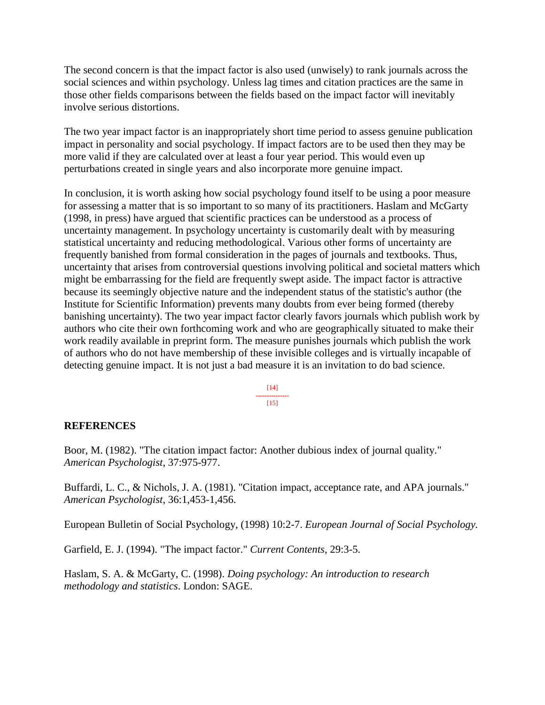The second concern is that the impact factor is also used (unwisely) to rank journals across the social sciences and within psychology. Unless lag times and citation practices are the same in those other fields comparisons between the fields based on the impact factor will inevitably involve serious distortions.

The two year impact factor is an inappropriately short time period to assess genuine publication impact in personality and social psychology. If impact factors are to be used then they may be more valid if they are calculated over at least a four year period. This would even up perturbations created in single years and also incorporate more genuine impact.

In conclusion, it is worth asking how social psychology found itself to be using a poor measure for assessing a matter that is so important to so many of its practitioners. Haslam and McGarty (1998, in press) have argued that scientific practices can be understood as a process of uncertainty management. In psychology uncertainty is customarily dealt with by measuring statistical uncertainty and reducing methodological. Various other forms of uncertainty are frequently banished from formal consideration in the pages of journals and textbooks. Thus, uncertainty that arises from controversial questions involving political and societal matters which might be embarrassing for the field are frequently swept aside. The impact factor is attractive because its seemingly objective nature and the independent status of the statistic's author (the Institute for Scientific Information) prevents many doubts from ever being formed (thereby banishing uncertainty). The two year impact factor clearly favors journals which publish work by authors who cite their own forthcoming work and who are geographically situated to make their work readily available in preprint form. The measure punishes journals which publish the work of authors who do not have membership of these invisible colleges and is virtually incapable of detecting genuine impact. It is not just a bad measure it is an invitation to do bad science.

> [14] --------------- [15]

## **REFERENCES**

Boor, M. (1982). "The citation impact factor: Another dubious index of journal quality." *American Psychologist*, 37:975-977.

Buffardi, L. C., & Nichols, J. A. (1981). "Citation impact, acceptance rate, and APA journals." *American Psychologist*, 36:1,453-1,456.

European Bulletin of Social Psychology, (1998) 10:2-7. *European Journal of Social Psychology.*

Garfield, E. J. (1994). "The impact factor." *Current Contents*, 29:3-5.

Haslam, S. A. & McGarty, C. (1998). *Doing psychology: An introduction to research methodology and statistics*. London: SAGE.